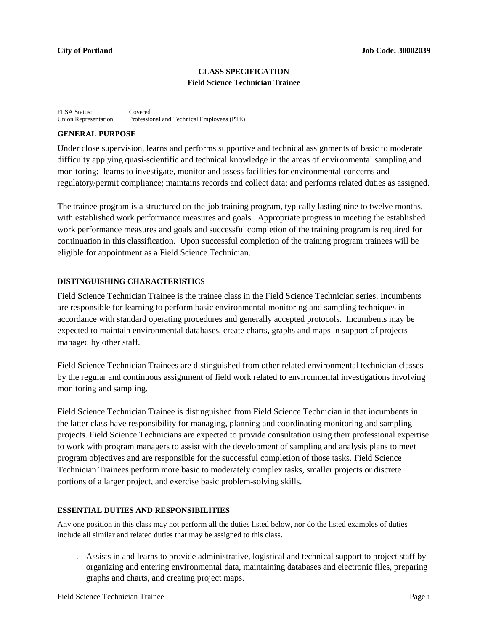## **CLASS SPECIFICATION Field Science Technician Trainee**

FLSA Status: Covered Union Representation: Professional and Technical Employees (PTE)

#### **GENERAL PURPOSE**

Under close supervision, learns and performs supportive and technical assignments of basic to moderate difficulty applying quasi-scientific and technical knowledge in the areas of environmental sampling and monitoring; learns to investigate, monitor and assess facilities for environmental concerns and regulatory/permit compliance; maintains records and collect data; and performs related duties as assigned.

The trainee program is a structured on-the-job training program, typically lasting nine to twelve months, with established work performance measures and goals. Appropriate progress in meeting the established work performance measures and goals and successful completion of the training program is required for continuation in this classification. Upon successful completion of the training program trainees will be eligible for appointment as a Field Science Technician.

### **DISTINGUISHING CHARACTERISTICS**

Field Science Technician Trainee is the trainee class in the Field Science Technician series. Incumbents are responsible for learning to perform basic environmental monitoring and sampling techniques in accordance with standard operating procedures and generally accepted protocols. Incumbents may be expected to maintain environmental databases, create charts, graphs and maps in support of projects managed by other staff.

Field Science Technician Trainees are distinguished from other related environmental technician classes by the regular and continuous assignment of field work related to environmental investigations involving monitoring and sampling.

Field Science Technician Trainee is distinguished from Field Science Technician in that incumbents in the latter class have responsibility for managing, planning and coordinating monitoring and sampling projects. Field Science Technicians are expected to provide consultation using their professional expertise to work with program managers to assist with the development of sampling and analysis plans to meet program objectives and are responsible for the successful completion of those tasks. Field Science Technician Trainees perform more basic to moderately complex tasks, smaller projects or discrete portions of a larger project, and exercise basic problem-solving skills.

### **ESSENTIAL DUTIES AND RESPONSIBILITIES**

Any one position in this class may not perform all the duties listed below, nor do the listed examples of duties include all similar and related duties that may be assigned to this class.

1. Assists in and learns to provide administrative, logistical and technical support to project staff by organizing and entering environmental data, maintaining databases and electronic files, preparing graphs and charts, and creating project maps.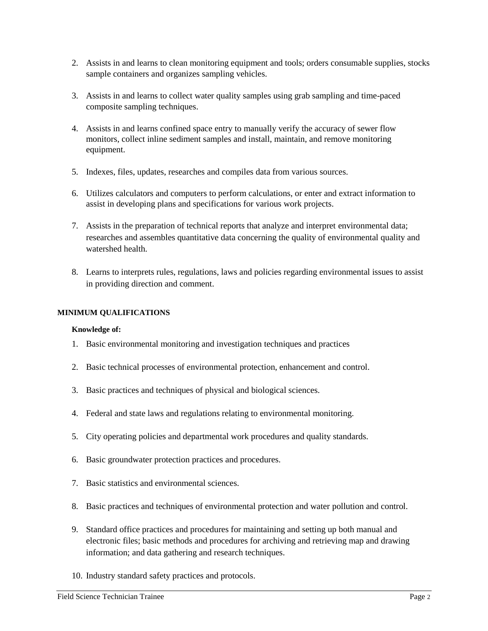- 2. Assists in and learns to clean monitoring equipment and tools; orders consumable supplies, stocks sample containers and organizes sampling vehicles.
- 3. Assists in and learns to collect water quality samples using grab sampling and time-paced composite sampling techniques.
- 4. Assists in and learns confined space entry to manually verify the accuracy of sewer flow monitors, collect inline sediment samples and install, maintain, and remove monitoring equipment.
- 5. Indexes, files, updates, researches and compiles data from various sources.
- 6. Utilizes calculators and computers to perform calculations, or enter and extract information to assist in developing plans and specifications for various work projects.
- 7. Assists in the preparation of technical reports that analyze and interpret environmental data; researches and assembles quantitative data concerning the quality of environmental quality and watershed health.
- 8. Learns to interprets rules, regulations, laws and policies regarding environmental issues to assist in providing direction and comment.

## **MINIMUM QUALIFICATIONS**

### **Knowledge of:**

- 1. Basic environmental monitoring and investigation techniques and practices
- 2. Basic technical processes of environmental protection, enhancement and control.
- 3. Basic practices and techniques of physical and biological sciences.
- 4. Federal and state laws and regulations relating to environmental monitoring.
- 5. City operating policies and departmental work procedures and quality standards.
- 6. Basic groundwater protection practices and procedures.
- 7. Basic statistics and environmental sciences.
- 8. Basic practices and techniques of environmental protection and water pollution and control.
- 9. Standard office practices and procedures for maintaining and setting up both manual and electronic files; basic methods and procedures for archiving and retrieving map and drawing information; and data gathering and research techniques.
- 10. Industry standard safety practices and protocols.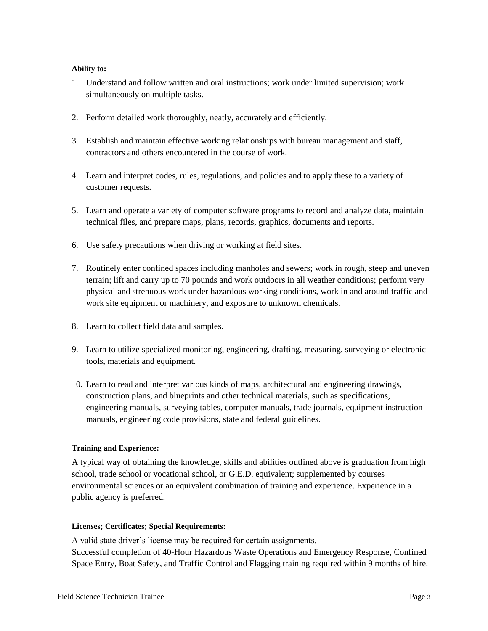# **Ability to:**

- 1. Understand and follow written and oral instructions; work under limited supervision; work simultaneously on multiple tasks.
- 2. Perform detailed work thoroughly, neatly, accurately and efficiently.
- 3. Establish and maintain effective working relationships with bureau management and staff, contractors and others encountered in the course of work.
- 4. Learn and interpret codes, rules, regulations, and policies and to apply these to a variety of customer requests.
- 5. Learn and operate a variety of computer software programs to record and analyze data, maintain technical files, and prepare maps, plans, records, graphics, documents and reports.
- 6. Use safety precautions when driving or working at field sites.
- 7. Routinely enter confined spaces including manholes and sewers; work in rough, steep and uneven terrain; lift and carry up to 70 pounds and work outdoors in all weather conditions; perform very physical and strenuous work under hazardous working conditions, work in and around traffic and work site equipment or machinery, and exposure to unknown chemicals.
- 8. Learn to collect field data and samples.
- 9. Learn to utilize specialized monitoring, engineering, drafting, measuring, surveying or electronic tools, materials and equipment.
- 10. Learn to read and interpret various kinds of maps, architectural and engineering drawings, construction plans, and blueprints and other technical materials, such as specifications, engineering manuals, surveying tables, computer manuals, trade journals, equipment instruction manuals, engineering code provisions, state and federal guidelines.

### **Training and Experience:**

A typical way of obtaining the knowledge, skills and abilities outlined above is graduation from high school, trade school or vocational school, or G.E.D. equivalent; supplemented by courses environmental sciences or an equivalent combination of training and experience. Experience in a public agency is preferred.

### **Licenses; Certificates; Special Requirements:**

A valid state driver's license may be required for certain assignments. Successful completion of 40-Hour Hazardous Waste Operations and Emergency Response, Confined Space Entry, Boat Safety, and Traffic Control and Flagging training required within 9 months of hire.